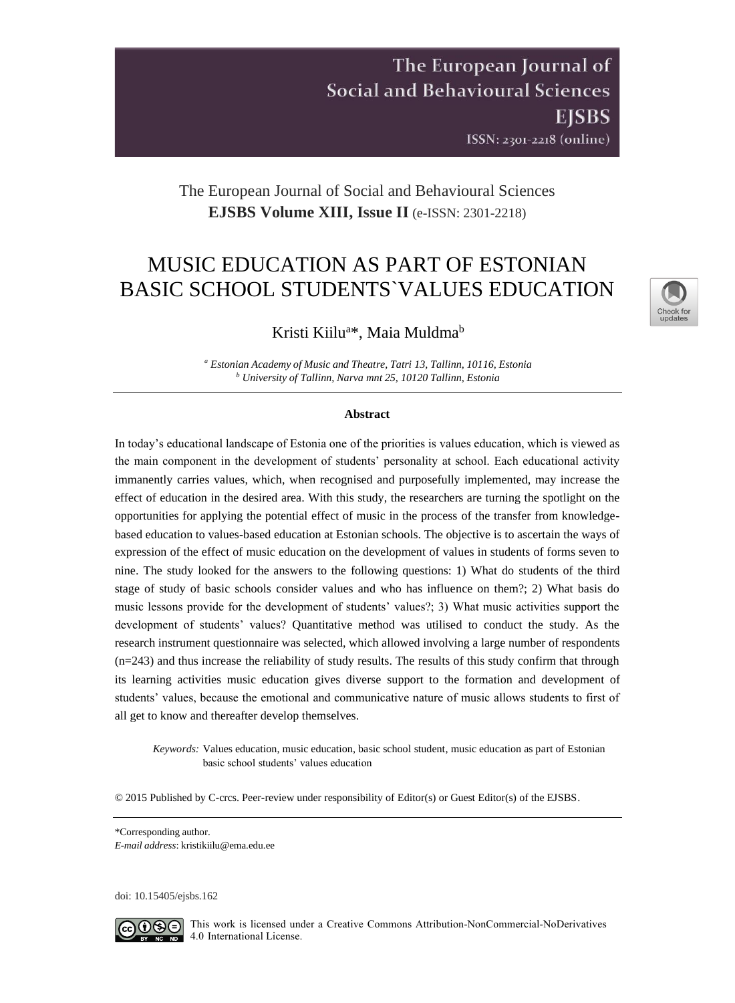## The European Journal of **Social and Behavioural Sciences EISBS** ISSN: 2301-2218 (online)

## The European Journal of Social and Behavioural Sciences **EJSBS Volume XIII, Issue II** (e-ISSN: 2301-2218)

# MUSIC EDUCATION AS PART OF ESTONIAN BASIC SCHOOL STUDENTS`VALUES EDUCATION



## Kristi Kiilu<sup>a\*</sup>, Maia Muldma<sup>b</sup>

*<sup>a</sup> Estonian Academy of Music and Theatre, Tatri 13, Tallinn, 10116, Estonia <sup>b</sup> University of Tallinn, Narva mnt 25, 10120 Tallinn, Estonia*

#### **Abstract**

In today's educational landscape of Estonia one of the priorities is values education, which is viewed as the main component in the development of students' personality at school. Each educational activity immanently carries values, which, when recognised and purposefully implemented, may increase the effect of education in the desired area. With this study, the researchers are turning the spotlight on the opportunities for applying the potential effect of music in the process of the transfer from knowledgebased education to values-based education at Estonian schools. The objective is to ascertain the ways of expression of the effect of music education on the development of values in students of forms seven to nine. The study looked for the answers to the following questions: 1) What do students of the third stage of study of basic schools consider values and who has influence on them?; 2) What basis do music lessons provide for the development of students' values?; 3) What music activities support the development of students' values? Quantitative method was utilised to conduct the study. As the research instrument questionnaire was selected, which allowed involving a large number of respondents (n=243) and thus increase the reliability of study results. The results of this study confirm that through its learning activities music education gives diverse support to the formation and development of students' values, because the emotional and communicative nature of music allows students to first of all get to know and thereafter develop themselves.

*Keywords:* Values education, music education, basic school student, music education as part of Estonian basic school students' values education

© 2015 Published by C-crcs. Peer-review under responsibility of Editor(s) or Guest Editor(s) of the EJSBS.

\*Corresponding author.

*E-mail address*: [kristikiilu@ema.edu.ee](mailto:kristikiilu@ema.edu.ee)

doi: [10.15405/ejsbs.162](https://doi.org/10.15405/ejsbs.162)



CCO  $\odot$  This work is licensed under a Creative Commons Attribution-NonCommercial-NoDerivatives  $\overline{4.0}$  International License.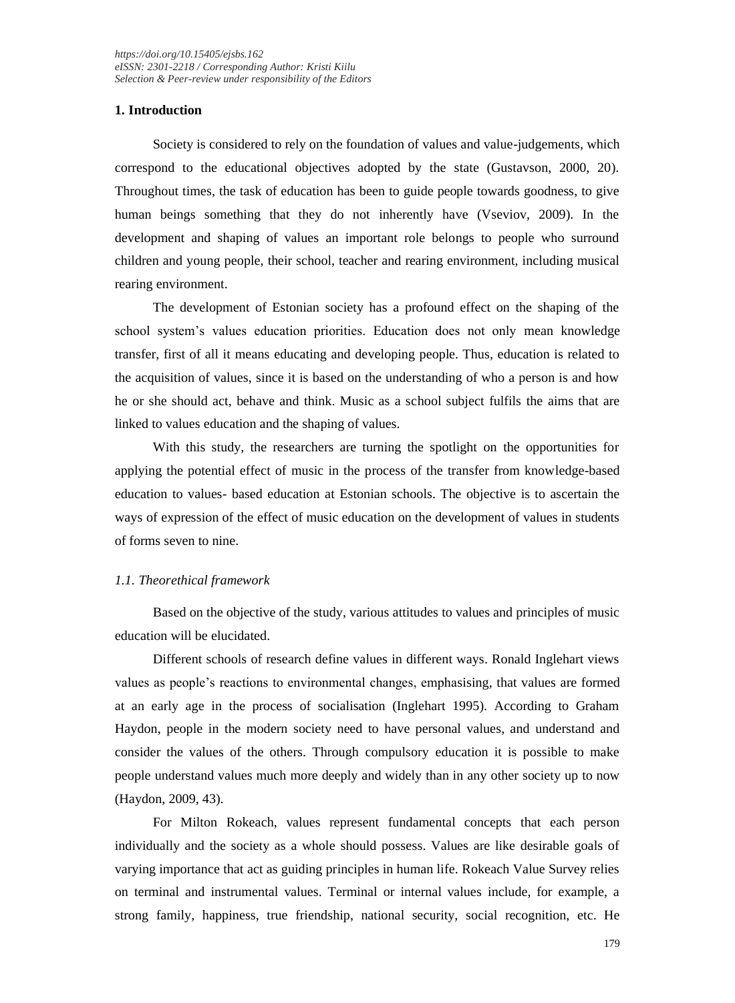### **1. Introduction**

Society is considered to rely on the foundation of values and value-judgements, which correspond to the educational objectives adopted by the state (Gustavson, 2000, 20). Throughout times, the task of education has been to guide people towards goodness, to give human beings something that they do not inherently have (Vseviov, 2009). In the development and shaping of values an important role belongs to people who surround children and young people, their school, teacher and rearing environment, including musical rearing environment.

The development of Estonian society has a profound effect on the shaping of the school system's values education priorities. Education does not only mean knowledge transfer, first of all it means educating and developing people. Thus, education is related to the acquisition of values, since it is based on the understanding of who a person is and how he or she should act, behave and think. Music as a school subject fulfils the aims that are linked to values education and the shaping of values.

With this study, the researchers are turning the spotlight on the opportunities for applying the potential effect of music in the process of the transfer from knowledge-based education to values- based education at Estonian schools. The objective is to ascertain the ways of expression of the effect of music education on the development of values in students of forms seven to nine.

### *1.1. Theorethical framework*

Based on the objective of the study, various attitudes to values and principles of music education will be elucidated.

Different schools of research define values in different ways. Ronald Inglehart views values as people's reactions to environmental changes, emphasising, that values are formed at an early age in the process of socialisation (Inglehart 1995). According to Graham Haydon, people in the modern society need to have personal values, and understand and consider the values of the others. Through compulsory education it is possible to make people understand values much more deeply and widely than in any other society up to now (Haydon, 2009, 43).

For Milton Rokeach, values represent fundamental concepts that each person individually and the society as a whole should possess. Values are like desirable goals of varying importance that act as guiding principles in human life. Rokeach Value Survey relies on terminal and instrumental values. Terminal or internal values include, for example, a strong family, happiness, true friendship, national security, social recognition, etc. He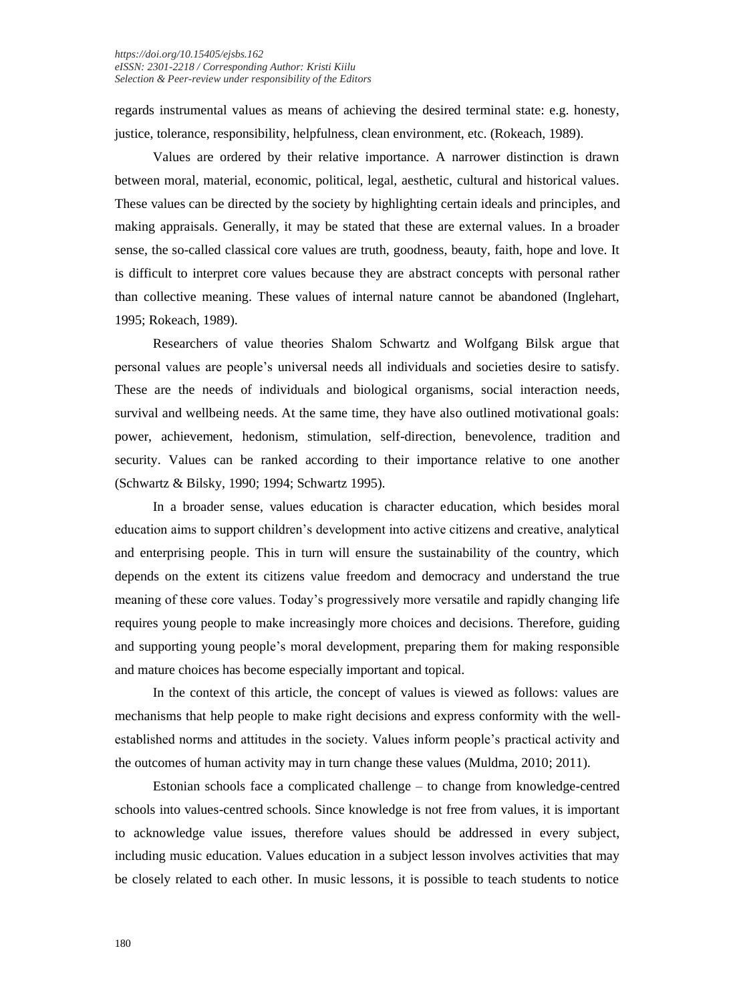regards instrumental values as means of achieving the desired terminal state: e.g. honesty, justice, tolerance, responsibility, helpfulness, clean environment, etc. (Rokeach, 1989).

Values are ordered by their relative importance. A narrower distinction is drawn between moral, material, economic, political, legal, aesthetic, cultural and historical values. These values can be directed by the society by highlighting certain ideals and principles, and making appraisals. Generally, it may be stated that these are external values. In a broader sense, the so-called classical core values are truth, goodness, beauty, faith, hope and love. It is difficult to interpret core values because they are abstract concepts with personal rather than collective meaning. These values of internal nature cannot be abandoned (Inglehart, 1995; Rokeach, 1989).

Researchers of value theories Shalom Schwartz and Wolfgang Bilsk argue that personal values are people's universal needs all individuals and societies desire to satisfy. These are the needs of individuals and biological organisms, social interaction needs, survival and wellbeing needs. At the same time, they have also outlined motivational goals: power, achievement, hedonism, stimulation, self-direction, benevolence, tradition and security. Values can be ranked according to their importance relative to one another (Schwartz & Bilsky, 1990; 1994; Schwartz 1995).

In a broader sense, values education is character education, which besides moral education aims to support children's development into active citizens and creative, analytical and enterprising people. This in turn will ensure the sustainability of the country, which depends on the extent its citizens value freedom and democracy and understand the true meaning of these core values. Today's progressively more versatile and rapidly changing life requires young people to make increasingly more choices and decisions. Therefore, guiding and supporting young people's moral development, preparing them for making responsible and mature choices has become especially important and topical.

In the context of this article, the concept of values is viewed as follows: values are mechanisms that help people to make right decisions and express conformity with the wellestablished norms and attitudes in the society. Values inform people's practical activity and the outcomes of human activity may in turn change these values (Muldma, 2010; 2011).

Estonian schools face a complicated challenge – to change from knowledge-centred schools into values-centred schools. Since knowledge is not free from values, it is important to acknowledge value issues, therefore values should be addressed in every subject, including music education. Values education in a subject lesson involves activities that may be closely related to each other. In music lessons, it is possible to teach students to notice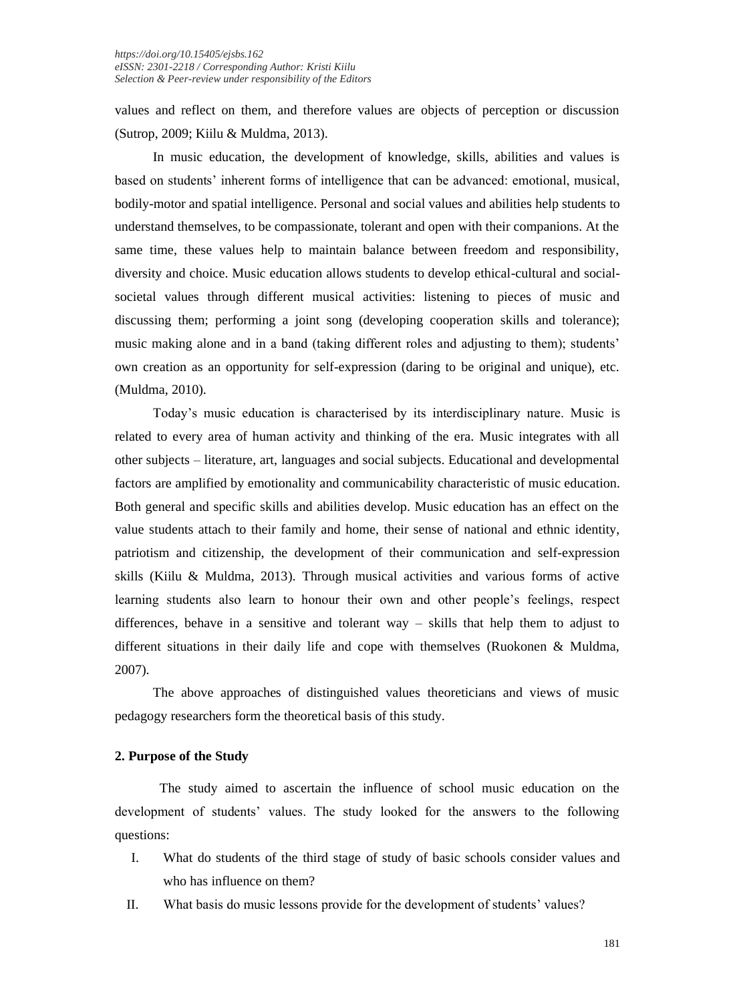values and reflect on them, and therefore values are objects of perception or discussion (Sutrop, 2009; Kiilu & Muldma, 2013).

In music education, the development of knowledge, skills, abilities and values is based on students' inherent forms of intelligence that can be advanced: emotional, musical, bodily-motor and spatial intelligence. Personal and social values and abilities help students to understand themselves, to be compassionate, tolerant and open with their companions. At the same time, these values help to maintain balance between freedom and responsibility, diversity and choice. Music education allows students to develop ethical-cultural and socialsocietal values through different musical activities: listening to pieces of music and discussing them; performing a joint song (developing cooperation skills and tolerance); music making alone and in a band (taking different roles and adjusting to them); students' own creation as an opportunity for self-expression (daring to be original and unique), etc. (Muldma, 2010).

Today's music education is characterised by its interdisciplinary nature. Music is related to every area of human activity and thinking of the era. Music integrates with all other subjects – literature, art, languages and social subjects. Educational and developmental factors are amplified by emotionality and communicability characteristic of music education. Both general and specific skills and abilities develop. Music education has an effect on the value students attach to their family and home, their sense of national and ethnic identity, patriotism and citizenship, the development of their communication and self-expression skills (Kiilu & Muldma, 2013). Through musical activities and various forms of active learning students also learn to honour their own and other people's feelings, respect differences, behave in a sensitive and tolerant way – skills that help them to adjust to different situations in their daily life and cope with themselves (Ruokonen & Muldma, 2007).

The above approaches of distinguished values theoreticians and views of music pedagogy researchers form the theoretical basis of this study.

### **2. Purpose of the Study**

 The study aimed to ascertain the influence of school music education on the development of students' values. The study looked for the answers to the following questions:

- I. What do students of the third stage of study of basic schools consider values and who has influence on them?
- II. What basis do music lessons provide for the development of students' values?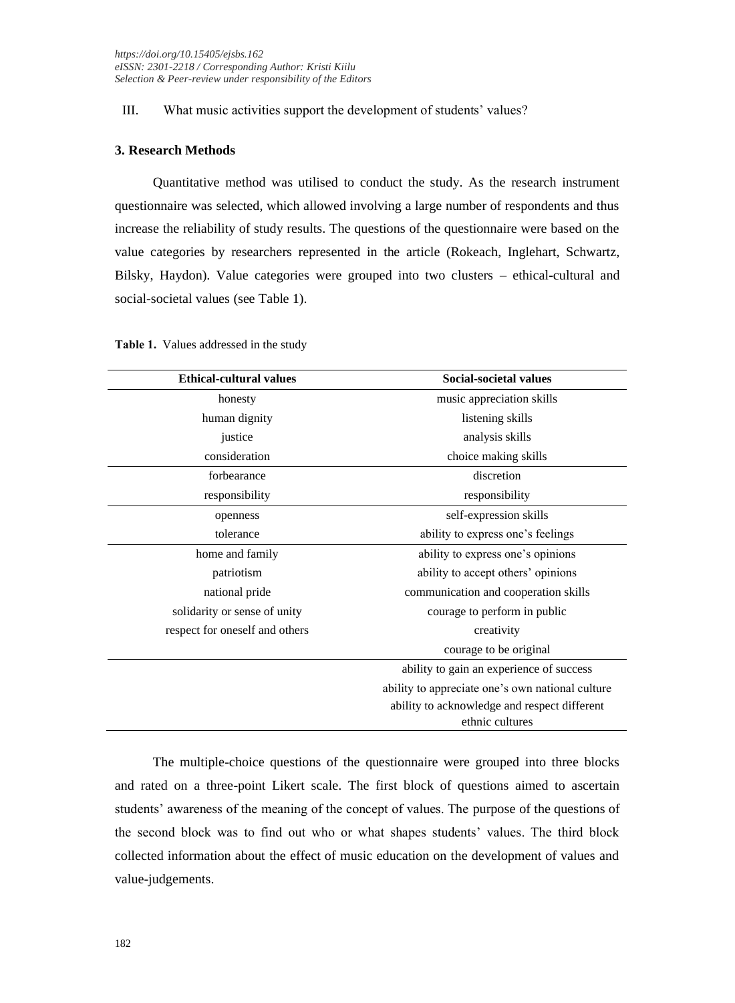## III. What music activities support the development of students' values?

## **3. Research Methods**

Quantitative method was utilised to conduct the study. As the research instrument questionnaire was selected, which allowed involving a large number of respondents and thus increase the reliability of study results. The questions of the questionnaire were based on the value categories by researchers represented in the article (Rokeach, Inglehart, Schwartz, Bilsky, Haydon). Value categories were grouped into two clusters – ethical-cultural and social-societal values (see Table 1).

| <b>Ethical-cultural values</b> | Social-societal values                           |
|--------------------------------|--------------------------------------------------|
| honesty                        | music appreciation skills                        |
| human dignity                  | listening skills                                 |
| justice                        | analysis skills                                  |
| consideration                  | choice making skills                             |
| forbearance                    | discretion                                       |
| responsibility                 | responsibility                                   |
| openness                       | self-expression skills                           |
| tolerance                      | ability to express one's feelings                |
| home and family                | ability to express one's opinions                |
| patriotism                     | ability to accept others' opinions               |
| national pride                 | communication and cooperation skills             |
| solidarity or sense of unity   | courage to perform in public                     |
| respect for oneself and others | creativity                                       |
|                                | courage to be original                           |
|                                | ability to gain an experience of success         |
|                                | ability to appreciate one's own national culture |
|                                | ability to acknowledge and respect different     |
|                                | ethnic cultures                                  |

**Table 1.** Values addressed in the study

The multiple-choice questions of the questionnaire were grouped into three blocks and rated on a three-point Likert scale. The first block of questions aimed to ascertain students' awareness of the meaning of the concept of values. The purpose of the questions of the second block was to find out who or what shapes students' values. The third block collected information about the effect of music education on the development of values and value-judgements.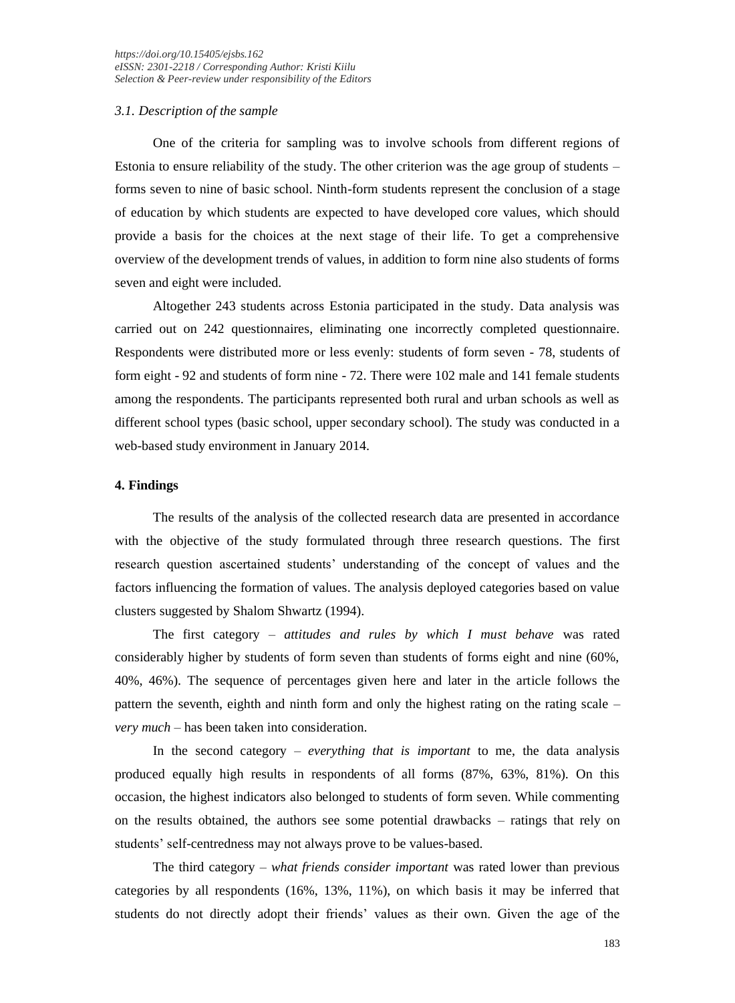### *3.1. Description of the sample*

One of the criteria for sampling was to involve schools from different regions of Estonia to ensure reliability of the study. The other criterion was the age group of students – forms seven to nine of basic school. Ninth-form students represent the conclusion of a stage of education by which students are expected to have developed core values, which should provide a basis for the choices at the next stage of their life. To get a comprehensive overview of the development trends of values, in addition to form nine also students of forms seven and eight were included.

Altogether 243 students across Estonia participated in the study. Data analysis was carried out on 242 questionnaires, eliminating one incorrectly completed questionnaire. Respondents were distributed more or less evenly: students of form seven - 78, students of form eight - 92 and students of form nine - 72. There were 102 male and 141 female students among the respondents. The participants represented both rural and urban schools as well as different school types (basic school, upper secondary school). The study was conducted in a web-based study environment in January 2014.

## **4. Findings**

The results of the analysis of the collected research data are presented in accordance with the objective of the study formulated through three research questions. The first research question ascertained students' understanding of the concept of values and the factors influencing the formation of values. The analysis deployed categories based on value clusters suggested by Shalom Shwartz (1994).

The first category – *attitudes and rules by which I must behave* was rated considerably higher by students of form seven than students of forms eight and nine (60%, 40%, 46%). The sequence of percentages given here and later in the article follows the pattern the seventh, eighth and ninth form and only the highest rating on the rating scale – *very much* – has been taken into consideration.

In the second category – *everything that is important* to me, the data analysis produced equally high results in respondents of all forms (87%, 63%, 81%). On this occasion, the highest indicators also belonged to students of form seven. While commenting on the results obtained, the authors see some potential drawbacks – ratings that rely on students' self-centredness may not always prove to be values-based.

The third category – *what friends consider important* was rated lower than previous categories by all respondents (16%, 13%, 11%), on which basis it may be inferred that students do not directly adopt their friends' values as their own. Given the age of the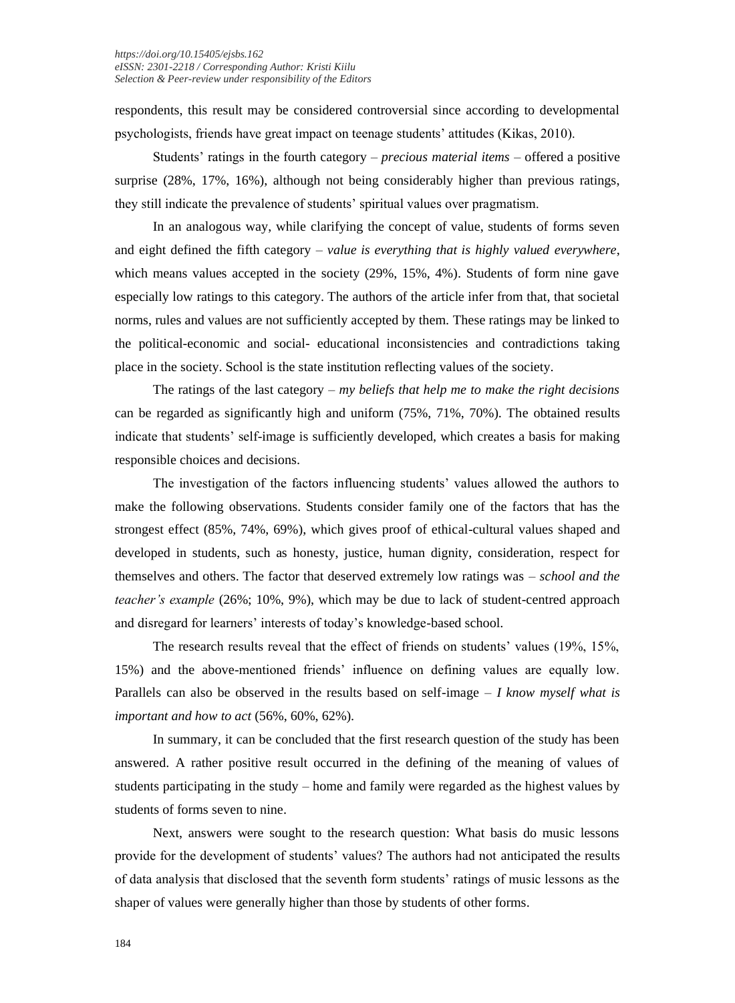respondents, this result may be considered controversial since according to developmental psychologists, friends have great impact on teenage students' attitudes (Kikas, 2010).

Students' ratings in the fourth category – *precious material items* – offered a positive surprise (28%, 17%, 16%), although not being considerably higher than previous ratings, they still indicate the prevalence of students' spiritual values over pragmatism.

In an analogous way, while clarifying the concept of value, students of forms seven and eight defined the fifth category – *value is everything that is highly valued everywhere*, which means values accepted in the society (29%, 15%, 4%). Students of form nine gave especially low ratings to this category. The authors of the article infer from that, that societal norms, rules and values are not sufficiently accepted by them. These ratings may be linked to the political-economic and social- educational inconsistencies and contradictions taking place in the society. School is the state institution reflecting values of the society.

The ratings of the last category – *my beliefs that help me to make the right decisions* can be regarded as significantly high and uniform (75%, 71%, 70%). The obtained results indicate that students' self-image is sufficiently developed, which creates a basis for making responsible choices and decisions.

The investigation of the factors influencing students' values allowed the authors to make the following observations. Students consider family one of the factors that has the strongest effect (85%, 74%, 69%), which gives proof of ethical-cultural values shaped and developed in students, such as honesty, justice, human dignity, consideration, respect for themselves and others. The factor that deserved extremely low ratings was – *school and the teacher's example* (26%; 10%, 9%), which may be due to lack of student-centred approach and disregard for learners' interests of today's knowledge-based school.

The research results reveal that the effect of friends on students' values (19%, 15%, 15%) and the above-mentioned friends' influence on defining values are equally low. Parallels can also be observed in the results based on self-image – *I know myself what is important and how to act* (56%, 60%, 62%).

In summary, it can be concluded that the first research question of the study has been answered. A rather positive result occurred in the defining of the meaning of values of students participating in the study – home and family were regarded as the highest values by students of forms seven to nine.

Next, answers were sought to the research question: What basis do music lessons provide for the development of students' values? The authors had not anticipated the results of data analysis that disclosed that the seventh form students' ratings of music lessons as the shaper of values were generally higher than those by students of other forms.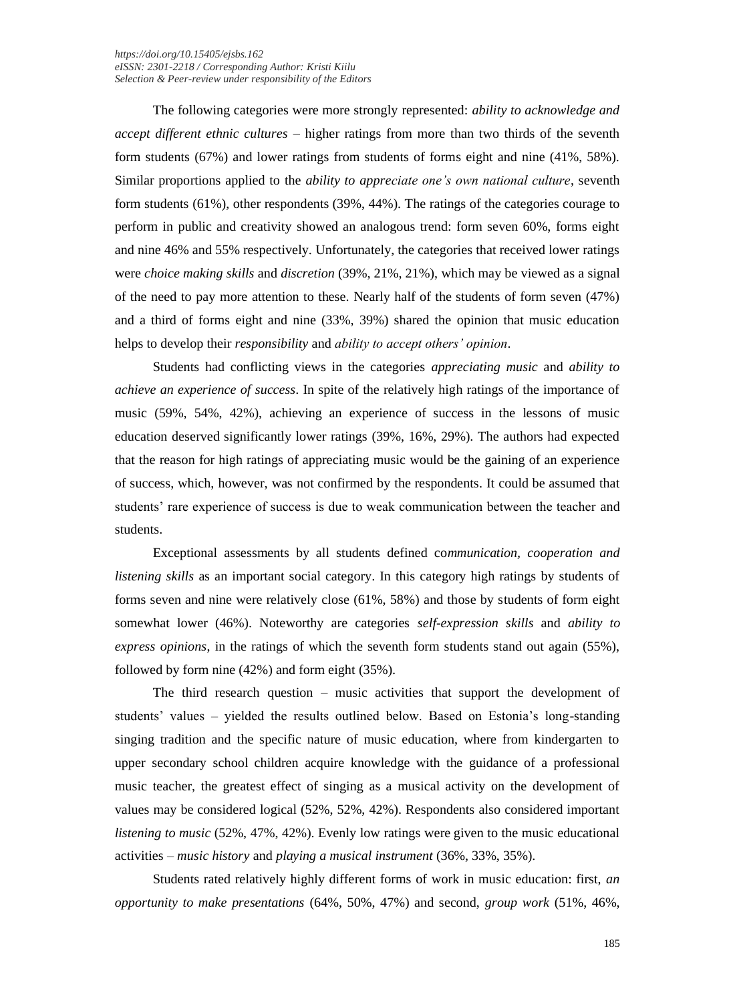The following categories were more strongly represented: *ability to acknowledge and accept different ethnic cultures* – higher ratings from more than two thirds of the seventh form students (67%) and lower ratings from students of forms eight and nine (41%, 58%). Similar proportions applied to the *ability to appreciate one's own national culture*, seventh form students (61%), other respondents (39%, 44%). The ratings of the categories courage to perform in public and creativity showed an analogous trend: form seven 60%, forms eight and nine 46% and 55% respectively. Unfortunately, the categories that received lower ratings were *choice making skills* and *discretion* (39%, 21%, 21%), which may be viewed as a signal of the need to pay more attention to these. Nearly half of the students of form seven (47%) and a third of forms eight and nine (33%, 39%) shared the opinion that music education helps to develop their *responsibility* and *ability to accept others' opinion*.

Students had conflicting views in the categories *appreciating music* and *ability to achieve an experience of success*. In spite of the relatively high ratings of the importance of music (59%, 54%, 42%), achieving an experience of success in the lessons of music education deserved significantly lower ratings (39%, 16%, 29%). The authors had expected that the reason for high ratings of appreciating music would be the gaining of an experience of success, which, however, was not confirmed by the respondents. It could be assumed that students' rare experience of success is due to weak communication between the teacher and students.

Exceptional assessments by all students defined co*mmunication, cooperation and listening skills* as an important social category. In this category high ratings by students of forms seven and nine were relatively close (61%, 58%) and those by students of form eight somewhat lower (46%). Noteworthy are categories *self-expression skills* and *ability to express opinions*, in the ratings of which the seventh form students stand out again (55%), followed by form nine (42%) and form eight (35%).

The third research question – music activities that support the development of students' values – yielded the results outlined below. Based on Estonia's long-standing singing tradition and the specific nature of music education, where from kindergarten to upper secondary school children acquire knowledge with the guidance of a professional music teacher, the greatest effect of singing as a musical activity on the development of values may be considered logical (52%, 52%, 42%). Respondents also considered important *listening to music* (52%, 47%, 42%). Evenly low ratings were given to the music educational activities – *music history* and *playing a musical instrument* (36%, 33%, 35%).

Students rated relatively highly different forms of work in music education: first, *an opportunity to make presentations* (64%, 50%, 47%) and second, *group work* (51%, 46%,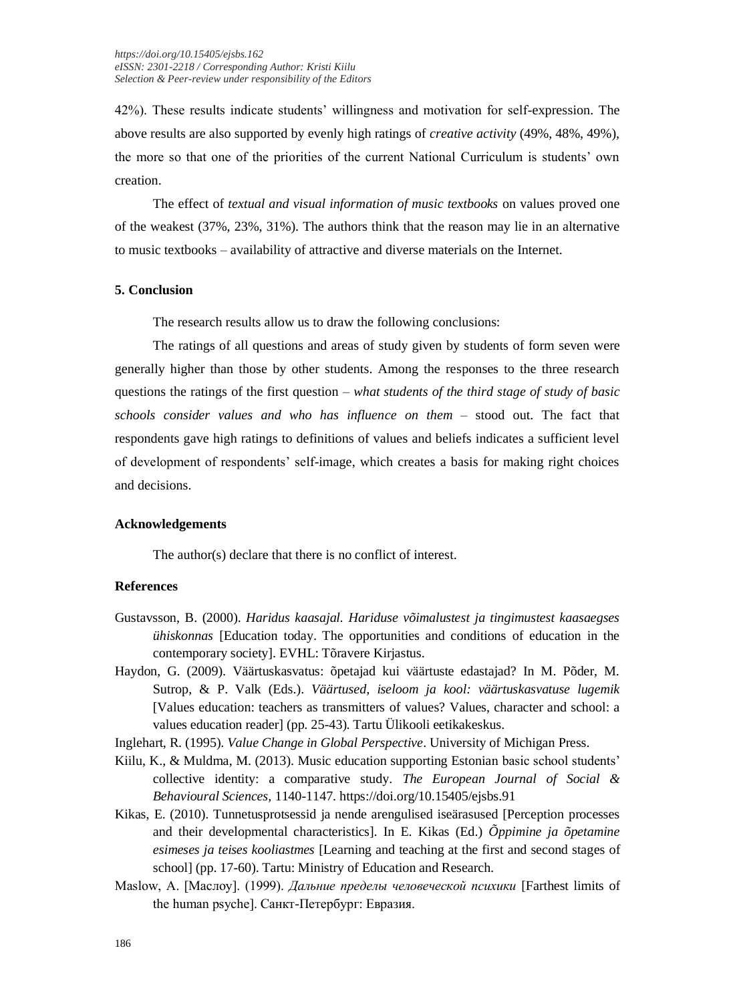42%). These results indicate students' willingness and motivation for self-expression. The above results are also supported by evenly high ratings of *creative activity* (49%, 48%, 49%), the more so that one of the priorities of the current National Curriculum is students' own creation.

The effect of *textual and visual information of music textbooks* on values proved one of the weakest (37%, 23%, 31%). The authors think that the reason may lie in an alternative to music textbooks – availability of attractive and diverse materials on the Internet.

## **5. Conclusion**

The research results allow us to draw the following conclusions:

The ratings of all questions and areas of study given by students of form seven were generally higher than those by other students. Among the responses to the three research questions the ratings of the first question – *what students of the third stage of study of basic schools consider values and who has influence on them* – stood out. The fact that respondents gave high ratings to definitions of values and beliefs indicates a sufficient level of development of respondents' self-image, which creates a basis for making right choices and decisions.

### **Acknowledgements**

The author(s) declare that there is no conflict of interest.

## **References**

- Gustavsson, B. (2000). *Haridus kaasajal. Hariduse võimalustest ja tingimustest kaasaegses ühiskonnas* [Education today. The opportunities and conditions of education in the contemporary society]. EVHL: Tõravere Kirjastus.
- Haydon, G. (2009). Väärtuskasvatus: õpetajad kui väärtuste edastajad? In M. Põder, M. Sutrop, & P. Valk (Eds.). *Väärtused, iseloom ja kool: väärtuskasvatuse lugemik* [Values education: teachers as transmitters of values? Values, character and school: a values education reader] (pp. 25-43). Tartu Ülikooli eetikakeskus.

Inglehart, R. (1995). *Value Change in Global Perspective*. University of Michigan Press.

- Kiilu, K., & Muldma, M. (2013). Music education supporting Estonian basic school students' collective identity: a comparative study. *The European Journal of Social & Behavioural Sciences,* 1140-1147. https://doi.org/10.15405/ejsbs.91
- Kikas, E. (2010). Tunnetusprotsessid ja nende arengulised iseärasused [Perception processes and their developmental characteristics]. In E. Kikas (Ed.) *Õppimine ja õpetamine esimeses ja teises kooliastmes* [Learning and teaching at the first and second stages of school] (pp. 17-60). Tartu: Ministry of Education and Research.
- Maslow, A. [Маслоу]. (1999). *Дальние пределы человеческой психики* [Farthest limits of the human psyche]. Санкт-Петербург: Евразия.